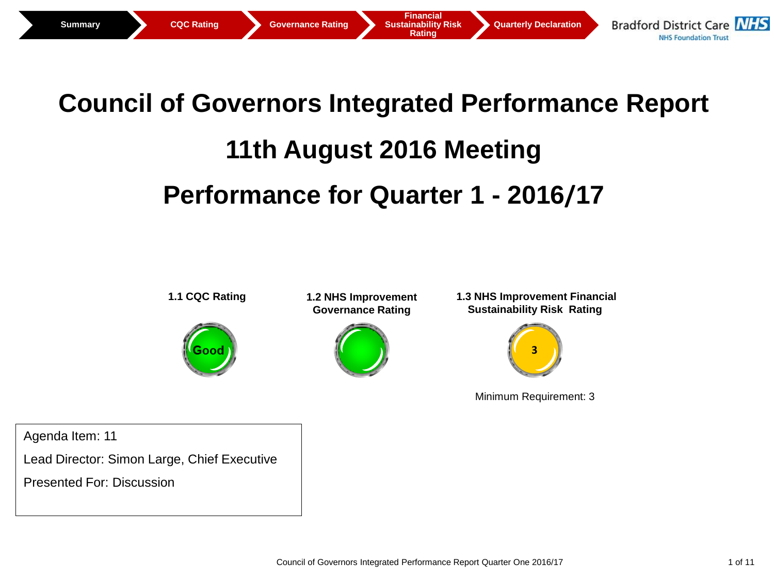

# **Council of Governors Integrated Performance Report 11th August 2016 Meeting Performance for Quarter 1 - 2016/17**



Agenda Item: 11

Lead Director: Simon Large, Chief Executive

Presented For: Discussion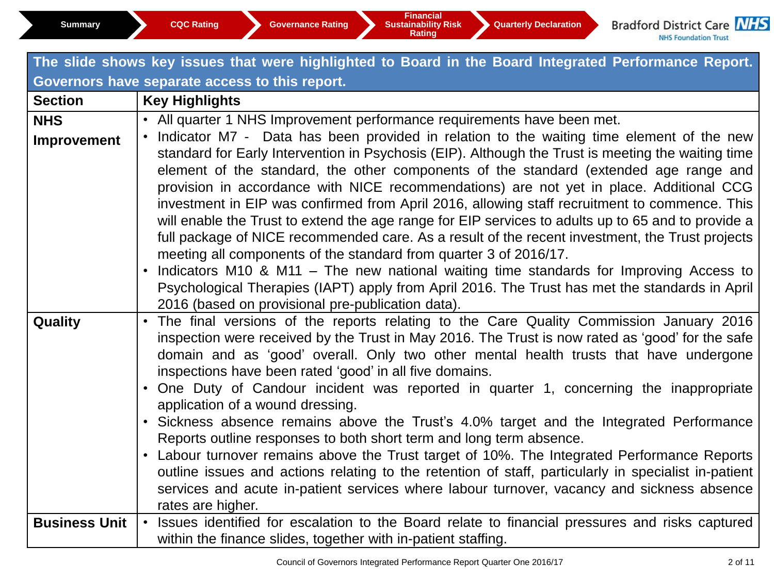## **The slide shows key issues that were highlighted to Board in the Board Integrated Performance Report. Governors have separate access to this report.**

| <b>Section</b>       | <b>Key Highlights</b>                                                                                |
|----------------------|------------------------------------------------------------------------------------------------------|
| <b>NHS</b>           | • All quarter 1 NHS Improvement performance requirements have been met.                              |
| Improvement          | • Indicator M7 - Data has been provided in relation to the waiting time element of the new           |
|                      | standard for Early Intervention in Psychosis (EIP). Although the Trust is meeting the waiting time   |
|                      | element of the standard, the other components of the standard (extended age range and                |
|                      | provision in accordance with NICE recommendations) are not yet in place. Additional CCG              |
|                      | investment in EIP was confirmed from April 2016, allowing staff recruitment to commence. This        |
|                      | will enable the Trust to extend the age range for EIP services to adults up to 65 and to provide a   |
|                      | full package of NICE recommended care. As a result of the recent investment, the Trust projects      |
|                      | meeting all components of the standard from quarter 3 of 2016/17.                                    |
|                      | Indicators M10 & M11 – The new national waiting time standards for Improving Access to               |
|                      | Psychological Therapies (IAPT) apply from April 2016. The Trust has met the standards in April       |
|                      | 2016 (based on provisional pre-publication data).                                                    |
| <b>Quality</b>       | • The final versions of the reports relating to the Care Quality Commission January 2016             |
|                      | inspection were received by the Trust in May 2016. The Trust is now rated as 'good' for the safe     |
|                      | domain and as 'good' overall. Only two other mental health trusts that have undergone                |
|                      | inspections have been rated 'good' in all five domains.                                              |
|                      | • One Duty of Candour incident was reported in quarter 1, concerning the inappropriate               |
|                      | application of a wound dressing.                                                                     |
|                      | • Sickness absence remains above the Trust's 4.0% target and the Integrated Performance              |
|                      | Reports outline responses to both short term and long term absence.                                  |
|                      | • Labour turnover remains above the Trust target of 10%. The Integrated Performance Reports          |
|                      | outline issues and actions relating to the retention of staff, particularly in specialist in-patient |
|                      | services and acute in-patient services where labour turnover, vacancy and sickness absence           |
|                      | rates are higher.                                                                                    |
| <b>Business Unit</b> | Issues identified for escalation to the Board relate to financial pressures and risks captured       |
|                      | within the finance slides, together with in-patient staffing.                                        |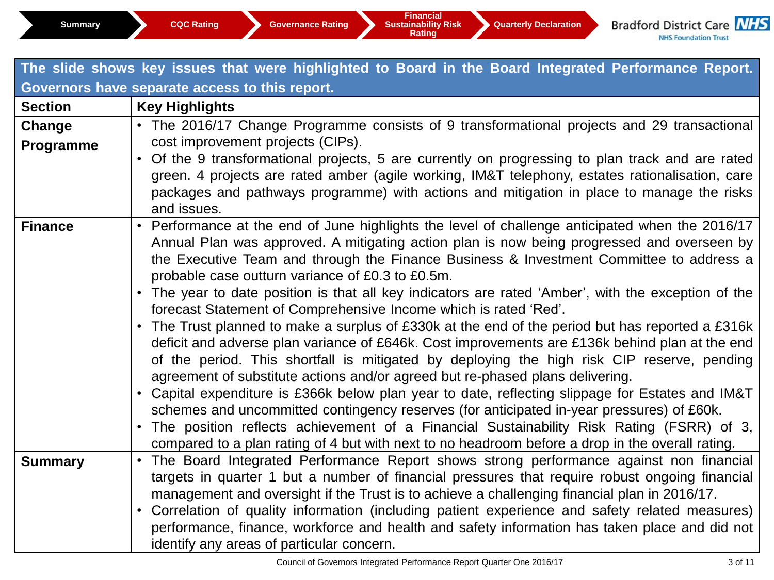| The slide shows key issues that were highlighted to Board in the Board Integrated Performance Report. |                                                                                                                                                                                                                                                                                                                                                                                                                                                                                                                                                                                                                                                                                                                                                                                                                                                                                                                                                                                                                                                                                                                                                                                                                                                                                                               |  |  |  |  |  |
|-------------------------------------------------------------------------------------------------------|---------------------------------------------------------------------------------------------------------------------------------------------------------------------------------------------------------------------------------------------------------------------------------------------------------------------------------------------------------------------------------------------------------------------------------------------------------------------------------------------------------------------------------------------------------------------------------------------------------------------------------------------------------------------------------------------------------------------------------------------------------------------------------------------------------------------------------------------------------------------------------------------------------------------------------------------------------------------------------------------------------------------------------------------------------------------------------------------------------------------------------------------------------------------------------------------------------------------------------------------------------------------------------------------------------------|--|--|--|--|--|
| Governors have separate access to this report.                                                        |                                                                                                                                                                                                                                                                                                                                                                                                                                                                                                                                                                                                                                                                                                                                                                                                                                                                                                                                                                                                                                                                                                                                                                                                                                                                                                               |  |  |  |  |  |
| <b>Section</b>                                                                                        | <b>Key Highlights</b>                                                                                                                                                                                                                                                                                                                                                                                                                                                                                                                                                                                                                                                                                                                                                                                                                                                                                                                                                                                                                                                                                                                                                                                                                                                                                         |  |  |  |  |  |
| Change<br>Programme                                                                                   | • The 2016/17 Change Programme consists of 9 transformational projects and 29 transactional<br>cost improvement projects (CIPs).<br>Of the 9 transformational projects, 5 are currently on progressing to plan track and are rated<br>$\bullet$<br>green. 4 projects are rated amber (agile working, IM&T telephony, estates rationalisation, care<br>packages and pathways programme) with actions and mitigation in place to manage the risks<br>and issues.                                                                                                                                                                                                                                                                                                                                                                                                                                                                                                                                                                                                                                                                                                                                                                                                                                                |  |  |  |  |  |
| <b>Finance</b>                                                                                        | • Performance at the end of June highlights the level of challenge anticipated when the 2016/17<br>Annual Plan was approved. A mitigating action plan is now being progressed and overseen by<br>the Executive Team and through the Finance Business & Investment Committee to address a<br>probable case outturn variance of £0.3 to £0.5m.<br>• The year to date position is that all key indicators are rated 'Amber', with the exception of the<br>forecast Statement of Comprehensive Income which is rated 'Red'.<br>• The Trust planned to make a surplus of £330k at the end of the period but has reported a £316k<br>deficit and adverse plan variance of £646k. Cost improvements are £136k behind plan at the end<br>of the period. This shortfall is mitigated by deploying the high risk CIP reserve, pending<br>agreement of substitute actions and/or agreed but re-phased plans delivering.<br>• Capital expenditure is £366k below plan year to date, reflecting slippage for Estates and IM&T<br>schemes and uncommitted contingency reserves (for anticipated in-year pressures) of £60k.<br>The position reflects achievement of a Financial Sustainability Risk Rating (FSRR) of 3,<br>compared to a plan rating of 4 but with next to no headroom before a drop in the overall rating. |  |  |  |  |  |
| <b>Summary</b>                                                                                        | • The Board Integrated Performance Report shows strong performance against non financial<br>targets in quarter 1 but a number of financial pressures that require robust ongoing financial<br>management and oversight if the Trust is to achieve a challenging financial plan in 2016/17.<br>Correlation of quality information (including patient experience and safety related measures)<br>$\bullet$<br>performance, finance, workforce and health and safety information has taken place and did not<br>identify any areas of particular concern.                                                                                                                                                                                                                                                                                                                                                                                                                                                                                                                                                                                                                                                                                                                                                        |  |  |  |  |  |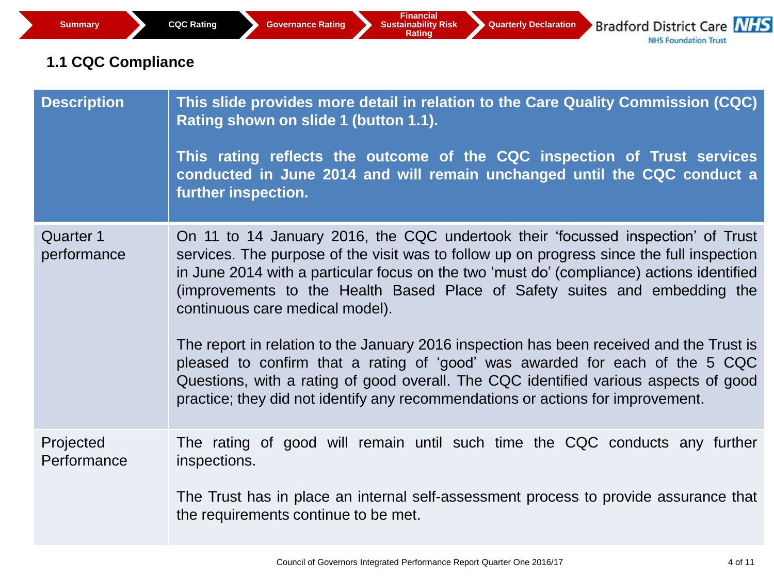## **1.1 CQC Compliance**

| <b>Description</b>              | This slide provides more detail in relation to the Care Quality Commission (CQC)<br>Rating shown on slide 1 (button 1.1).<br>This rating reflects the outcome of the CQC inspection of Trust services<br>conducted in June 2014 and will remain unchanged until the CQC conduct a<br>further inspection.                                                                                    |
|---------------------------------|---------------------------------------------------------------------------------------------------------------------------------------------------------------------------------------------------------------------------------------------------------------------------------------------------------------------------------------------------------------------------------------------|
| <b>Quarter 1</b><br>performance | On 11 to 14 January 2016, the CQC undertook their 'focussed inspection' of Trust<br>services. The purpose of the visit was to follow up on progress since the full inspection<br>in June 2014 with a particular focus on the two 'must do' (compliance) actions identified<br>(improvements to the Health Based Place of Safety suites and embedding the<br>continuous care medical model). |
|                                 | The report in relation to the January 2016 inspection has been received and the Trust is<br>pleased to confirm that a rating of 'good' was awarded for each of the 5 CQC<br>Questions, with a rating of good overall. The CQC identified various aspects of good<br>practice; they did not identify any recommendations or actions for improvement.                                         |
| Projected<br>Performance        | The rating of good will remain until such time the CQC conducts any further<br>inspections.<br>The Trust has in place an internal self-assessment process to provide assurance that                                                                                                                                                                                                         |
|                                 | the requirements continue to be met.                                                                                                                                                                                                                                                                                                                                                        |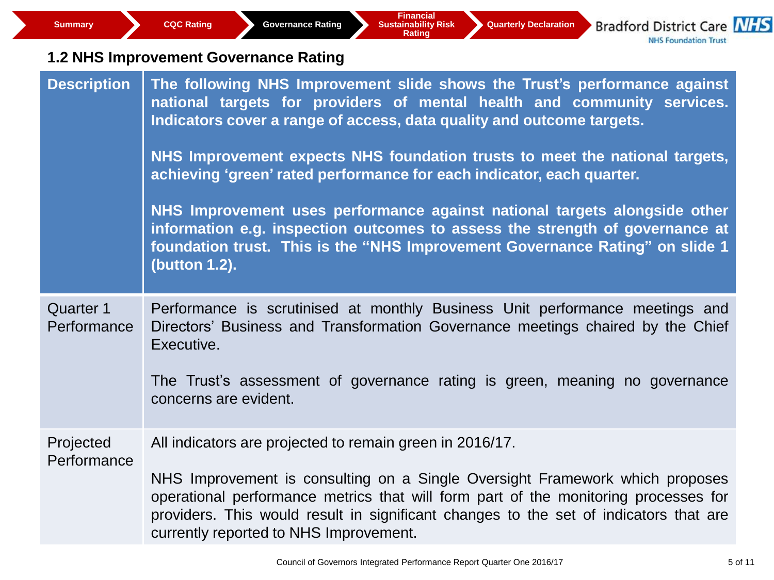| <b>Summary</b>                  | <b>Financial</b><br><b>Bradford District Care NHS</b><br><b>Sustainability Risk</b><br><b>CQC Rating</b><br><b>Governance Rating</b><br><b>Quarterly Declaration</b><br><b>Rating</b><br><b>NHS Foundation Trust</b>                                                                                                                                                                  |
|---------------------------------|---------------------------------------------------------------------------------------------------------------------------------------------------------------------------------------------------------------------------------------------------------------------------------------------------------------------------------------------------------------------------------------|
|                                 | 1.2 NHS Improvement Governance Rating                                                                                                                                                                                                                                                                                                                                                 |
| <b>Description</b>              | The following NHS Improvement slide shows the Trust's performance against<br>national targets for providers of mental health and community services.<br>Indicators cover a range of access, data quality and outcome targets.<br>NHS Improvement expects NHS foundation trusts to meet the national targets,<br>achieving 'green' rated performance for each indicator, each quarter. |
|                                 | NHS Improvement uses performance against national targets alongside other<br>information e.g. inspection outcomes to assess the strength of governance at<br>foundation trust. This is the "NHS Improvement Governance Rating" on slide 1<br>(button 1.2).                                                                                                                            |
| <b>Quarter 1</b><br>Performance | Performance is scrutinised at monthly Business Unit performance meetings and<br>Directors' Business and Transformation Governance meetings chaired by the Chief<br>Executive.<br>The Trust's assessment of governance rating is green, meaning no governance<br>concerns are evident.                                                                                                 |
| Projected<br>Performance        | All indicators are projected to remain green in 2016/17.<br>NHS Improvement is consulting on a Single Oversight Framework which proposes<br>operational performance metrics that will form part of the monitoring processes for<br>providers. This would result in significant changes to the set of indicators that are<br>currently reported to NHS Improvement.                    |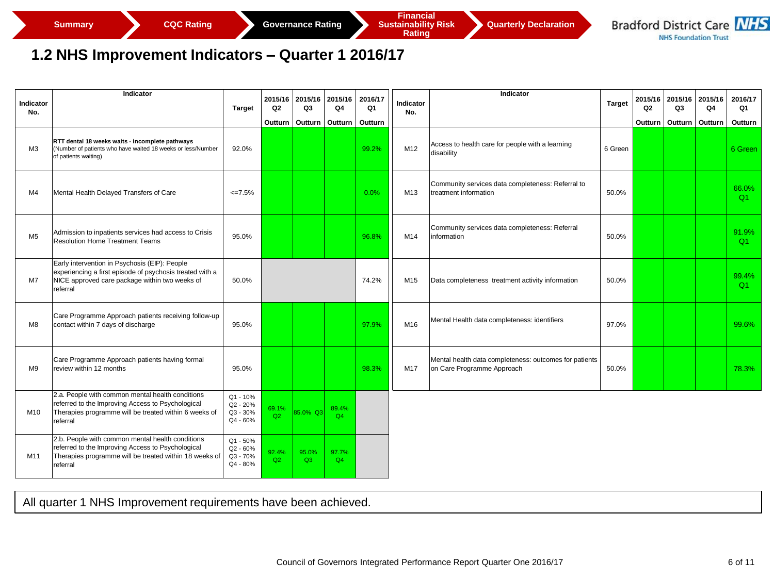**Rating** 



#### **1.2 NHS Improvement Indicators – Quarter 1 2016/17**

|                  | Indicator                                                                                                                                                                   |                                              | 2015/16        | 2015/16     | 2015/16     | 2016/17 |                         | Indicator                                                                            |               |         | 2015/16 2015/16 | 2015/16 | 2016/17     |
|------------------|-----------------------------------------------------------------------------------------------------------------------------------------------------------------------------|----------------------------------------------|----------------|-------------|-------------|---------|-------------------------|--------------------------------------------------------------------------------------|---------------|---------|-----------------|---------|-------------|
| Indicator<br>No. |                                                                                                                                                                             | <b>Target</b>                                | Q <sub>2</sub> | Q3          | Q4          | Q1      | <b>Indicator</b><br>No. |                                                                                      | <b>Target</b> | Q2      | Q3              | Q4      | Q1          |
|                  |                                                                                                                                                                             |                                              | Outturn        | Outturn     | Outturn     | Outturn |                         |                                                                                      |               | Outturn | Outturn         | Outturn | Outturn     |
| ΜЗ               | RTT dental 18 weeks waits - incomplete pathways<br>(Number of patients who have waited 18 weeks or less/Number<br>of patients waiting)                                      | 92.0%                                        |                |             |             | 99.2%   | M12                     | Access to health care for people with a learning<br>disability                       | 6 Green       |         |                 |         | 6 Green     |
| M4               | Mental Health Delayed Transfers of Care                                                                                                                                     | $\leq$ 7.5%                                  |                |             |             | 0.0%    | M13                     | Community services data completeness: Referral to<br>treatment information           | 50.0%         |         |                 |         | 66.0%<br>Q1 |
| M <sub>5</sub>   | Admission to inpatients services had access to Crisis<br><b>Resolution Home Treatment Teams</b>                                                                             | 95.0%                                        |                |             |             | 96.8%   | M14                     | Community services data completeness: Referral<br>information                        | 50.0%         |         |                 |         | 91.9%<br>Q1 |
| M <sub>7</sub>   | Early intervention in Psychosis (EIP): People<br>experiencing a first episode of psychosis treated with a<br>NICE approved care package within two weeks of<br>referral     | 50.0%                                        |                |             |             | 74.2%   | M15                     | Data completeness treatment activity information                                     | 50.0%         |         |                 |         | 99.4%<br>Q1 |
| M <sub>8</sub>   | Care Programme Approach patients receiving follow-up<br>contact within 7 days of discharge                                                                                  | 95.0%                                        |                |             |             | 97.9%   | M16                     | Mental Health data completeness: identifiers                                         | 97.0%         |         |                 |         | 99.6%       |
| M9               | Care Programme Approach patients having formal<br>review within 12 months                                                                                                   | 95.0%                                        |                |             |             | 98.3%   | M17                     | Mental health data completeness: outcomes for patients<br>on Care Programme Approach | 50.0%         |         |                 |         | 78.3%       |
| M10              | 2.a. People with common mental health conditions<br>referred to the Improving Access to Psychological<br>Therapies programme will be treated within 6 weeks of<br>referral  | Q1 - 10%<br>Q2 - 20%<br>Q3 - 30%<br>Q4 - 60% | 69.1%<br>Q2    | 85.0% Q3    | 89.4%<br>Q4 |         |                         |                                                                                      |               |         |                 |         |             |
| M11              | 2.b. People with common mental health conditions<br>referred to the Improving Access to Psychological<br>Therapies programme will be treated within 18 weeks of<br>referral | Q1 - 50%<br>Q2 - 60%<br>Q3 - 70%<br>Q4 - 80% | 92.4%<br>Q2    | 95.0%<br>Q3 | 97.7%<br>Q4 |         |                         |                                                                                      |               |         |                 |         |             |
|                  | All quarter 1 NHS Improvement requirements have been achieved.                                                                                                              |                                              |                |             |             |         |                         |                                                                                      |               |         |                 |         |             |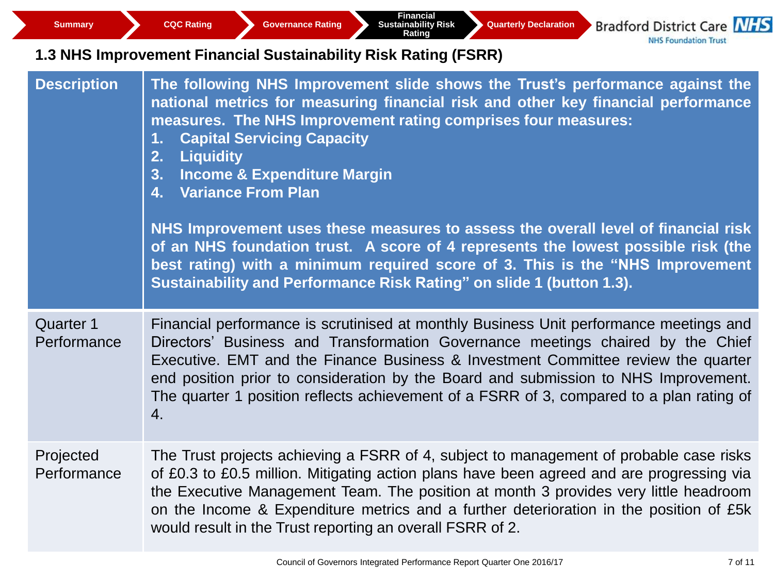**Bradford District Care NHS NHS Foundation Trust** 

## **1.3 NHS Improvement Financial Sustainability Risk Rating (FSRR)**

| <b>Description</b>              | The following NHS Improvement slide shows the Trust's performance against the<br>national metrics for measuring financial risk and other key financial performance<br>measures. The NHS Improvement rating comprises four measures:<br><b>Capital Servicing Capacity</b><br>1.<br><b>Liquidity</b><br>2.<br><b>Income &amp; Expenditure Margin</b><br>3.<br>4. Variance From Plan<br>NHS Improvement uses these measures to assess the overall level of financial risk<br>of an NHS foundation trust. A score of 4 represents the lowest possible risk (the<br>best rating) with a minimum required score of 3. This is the "NHS Improvement<br>Sustainability and Performance Risk Rating" on slide 1 (button 1.3). |
|---------------------------------|----------------------------------------------------------------------------------------------------------------------------------------------------------------------------------------------------------------------------------------------------------------------------------------------------------------------------------------------------------------------------------------------------------------------------------------------------------------------------------------------------------------------------------------------------------------------------------------------------------------------------------------------------------------------------------------------------------------------|
| <b>Quarter 1</b><br>Performance | Financial performance is scrutinised at monthly Business Unit performance meetings and<br>Directors' Business and Transformation Governance meetings chaired by the Chief<br>Executive. EMT and the Finance Business & Investment Committee review the quarter<br>end position prior to consideration by the Board and submission to NHS Improvement.<br>The quarter 1 position reflects achievement of a FSRR of 3, compared to a plan rating of<br>$\overline{4}$ .                                                                                                                                                                                                                                                |
| Projected<br>Performance        | The Trust projects achieving a FSRR of 4, subject to management of probable case risks<br>of £0.3 to £0.5 million. Mitigating action plans have been agreed and are progressing via<br>the Executive Management Team. The position at month 3 provides very little headroom<br>on the Income & Expenditure metrics and a further deterioration in the position of £5k<br>would result in the Trust reporting an overall FSRR of 2.                                                                                                                                                                                                                                                                                   |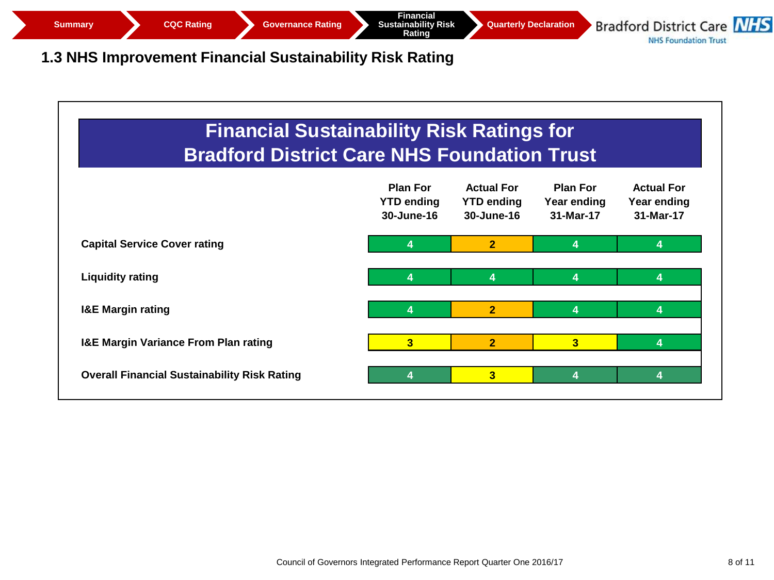

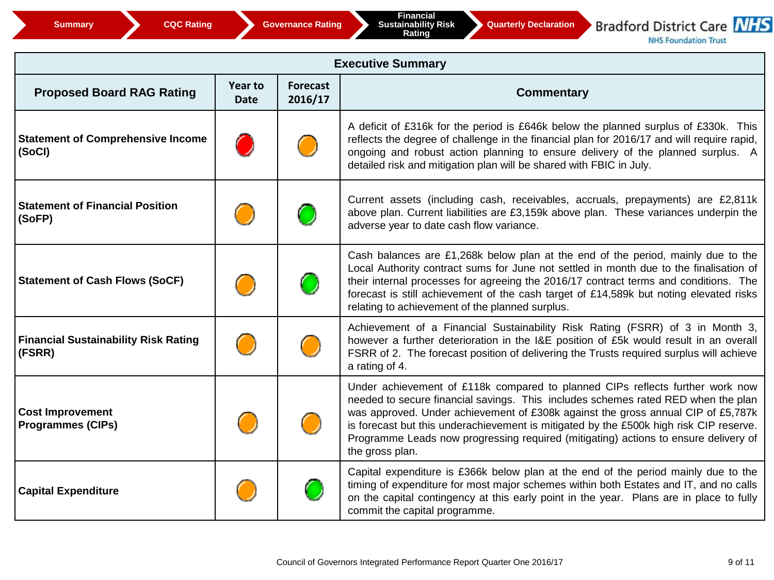

**NHS Foundation Trust** 

| <b>Executive Summary</b>                              |                               |                            |                                                                                                                                                                                                                                                                                                                                                                                                                                                            |  |  |  |
|-------------------------------------------------------|-------------------------------|----------------------------|------------------------------------------------------------------------------------------------------------------------------------------------------------------------------------------------------------------------------------------------------------------------------------------------------------------------------------------------------------------------------------------------------------------------------------------------------------|--|--|--|
| <b>Proposed Board RAG Rating</b>                      | <b>Year to</b><br><b>Date</b> | <b>Forecast</b><br>2016/17 | <b>Commentary</b>                                                                                                                                                                                                                                                                                                                                                                                                                                          |  |  |  |
| <b>Statement of Comprehensive Income</b><br>(SoCI)    |                               |                            | A deficit of £316k for the period is £646k below the planned surplus of £330k. This<br>reflects the degree of challenge in the financial plan for 2016/17 and will require rapid,<br>ongoing and robust action planning to ensure delivery of the planned surplus. A<br>detailed risk and mitigation plan will be shared with FBIC in July.                                                                                                                |  |  |  |
| <b>Statement of Financial Position</b><br>(SoFP)      |                               |                            | Current assets (including cash, receivables, accruals, prepayments) are £2,811k<br>above plan. Current liabilities are £3,159k above plan. These variances underpin the<br>adverse year to date cash flow variance.                                                                                                                                                                                                                                        |  |  |  |
| <b>Statement of Cash Flows (SoCF)</b>                 |                               |                            | Cash balances are £1,268k below plan at the end of the period, mainly due to the<br>Local Authority contract sums for June not settled in month due to the finalisation of<br>their internal processes for agreeing the 2016/17 contract terms and conditions. The<br>forecast is still achievement of the cash target of £14,589k but noting elevated risks<br>relating to achievement of the planned surplus.                                            |  |  |  |
| <b>Financial Sustainability Risk Rating</b><br>(FSRR) |                               |                            | Achievement of a Financial Sustainability Risk Rating (FSRR) of 3 in Month 3,<br>however a further deterioration in the I&E position of £5k would result in an overall<br>FSRR of 2. The forecast position of delivering the Trusts required surplus will achieve<br>a rating of 4.                                                                                                                                                                        |  |  |  |
| <b>Cost Improvement</b><br><b>Programmes (CIPs)</b>   |                               |                            | Under achievement of £118k compared to planned CIPs reflects further work now<br>needed to secure financial savings. This includes schemes rated RED when the plan<br>was approved. Under achievement of £308k against the gross annual CIP of £5,787k<br>is forecast but this underachievement is mitigated by the £500k high risk CIP reserve.<br>Programme Leads now progressing required (mitigating) actions to ensure delivery of<br>the gross plan. |  |  |  |
| <b>Capital Expenditure</b>                            |                               |                            | Capital expenditure is £366k below plan at the end of the period mainly due to the<br>timing of expenditure for most major schemes within both Estates and IT, and no calls<br>on the capital contingency at this early point in the year. Plans are in place to fully<br>commit the capital programme.                                                                                                                                                    |  |  |  |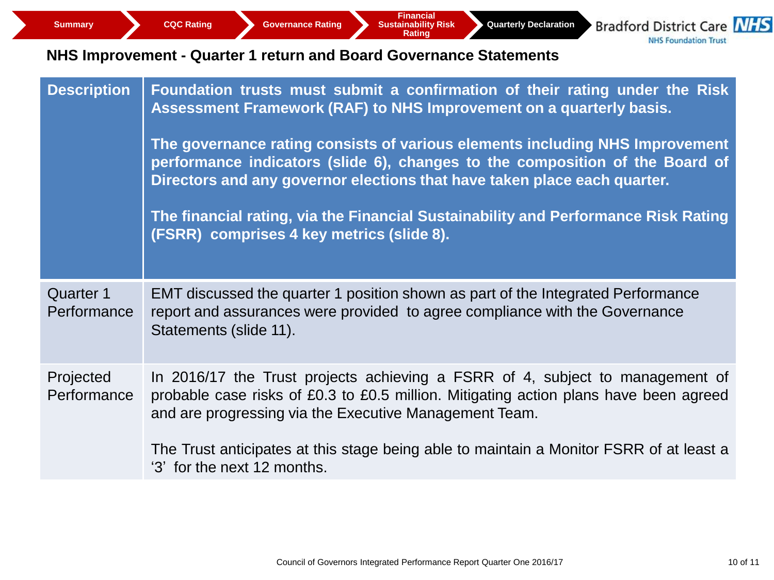**Bradford District Care NHS NHS Foundation Trust** 

## **NHS Improvement - Quarter 1 return and Board Governance Statements**

| <b>Description</b>              | Foundation trusts must submit a confirmation of their rating under the Risk<br>Assessment Framework (RAF) to NHS Improvement on a quarterly basis.<br>The governance rating consists of various elements including NHS Improvement<br>performance indicators (slide 6), changes to the composition of the Board of<br>Directors and any governor elections that have taken place each quarter.<br>The financial rating, via the Financial Sustainability and Performance Risk Rating<br>(FSRR) comprises 4 key metrics (slide 8). |
|---------------------------------|-----------------------------------------------------------------------------------------------------------------------------------------------------------------------------------------------------------------------------------------------------------------------------------------------------------------------------------------------------------------------------------------------------------------------------------------------------------------------------------------------------------------------------------|
| <b>Quarter 1</b><br>Performance | EMT discussed the quarter 1 position shown as part of the Integrated Performance<br>report and assurances were provided to agree compliance with the Governance<br>Statements (slide 11).                                                                                                                                                                                                                                                                                                                                         |
| Projected<br>Performance        | In 2016/17 the Trust projects achieving a FSRR of 4, subject to management of<br>probable case risks of £0.3 to £0.5 million. Mitigating action plans have been agreed<br>and are progressing via the Executive Management Team.<br>The Trust anticipates at this stage being able to maintain a Monitor FSRR of at least a<br>'3' for the next 12 months.                                                                                                                                                                        |
|                                 |                                                                                                                                                                                                                                                                                                                                                                                                                                                                                                                                   |